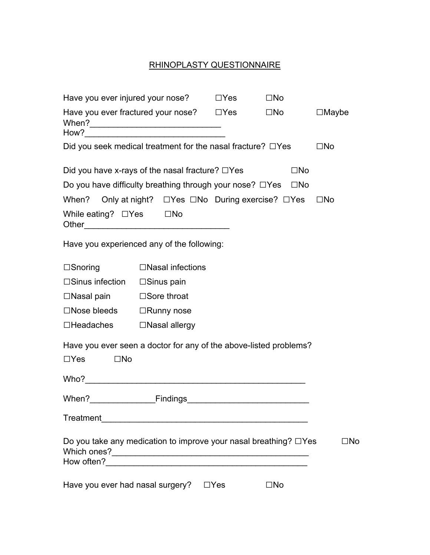## RHINOPLASTY QUESTIONNAIRE

| Have you ever injured your nose?                                       |                         | $\square$ Yes | $\square$ No           |                 |  |
|------------------------------------------------------------------------|-------------------------|---------------|------------------------|-----------------|--|
| Have you ever fractured your nose? $\square$ Yes                       |                         |               | $\square$ No $\square$ | $\square$ Maybe |  |
| Did you seek medical treatment for the nasal fracture? $\Box$ Yes      | $\square$ No            |               |                        |                 |  |
| Did you have x-rays of the nasal fracture? $\Box$ Yes                  |                         |               | $\square$ No           |                 |  |
| Do you have difficulty breathing through your nose? □Yes □No           |                         |               |                        |                 |  |
| When? Only at night? □ Yes □ No During exercise? □ Yes                 |                         |               |                        | $\square$ No    |  |
| While eating? $\Box$ Yes $\Box$ No                                     |                         |               |                        |                 |  |
| Have you experienced any of the following:                             |                         |               |                        |                 |  |
| $\square$ Snoring                                                      | $\Box$ Nasal infections |               |                        |                 |  |
| $\square$ Sinus infection $\square$ Sinus pain                         |                         |               |                        |                 |  |
| $\Box$ Nasal pain $\Box$ Sore throat                                   |                         |               |                        |                 |  |
| $\Box$ Nose bleeds $\Box$ Runny nose                                   |                         |               |                        |                 |  |
| □Headaches □Nasal allergy                                              |                         |               |                        |                 |  |
| Have you ever seen a doctor for any of the above-listed problems?      |                         |               |                        |                 |  |
| $\square$ No<br>$\Box Y$ es                                            |                         |               |                        |                 |  |
|                                                                        |                         |               |                        |                 |  |
| When?                                                                  |                         |               |                        |                 |  |
| Treatment                                                              |                         |               |                        |                 |  |
| Do you take any medication to improve your nasal breathing? $\Box$ Yes |                         |               |                        | □No             |  |
|                                                                        |                         |               |                        |                 |  |
| Have you ever had nasal surgery?<br>$\Box$ Yes<br>$\square$ No         |                         |               |                        |                 |  |